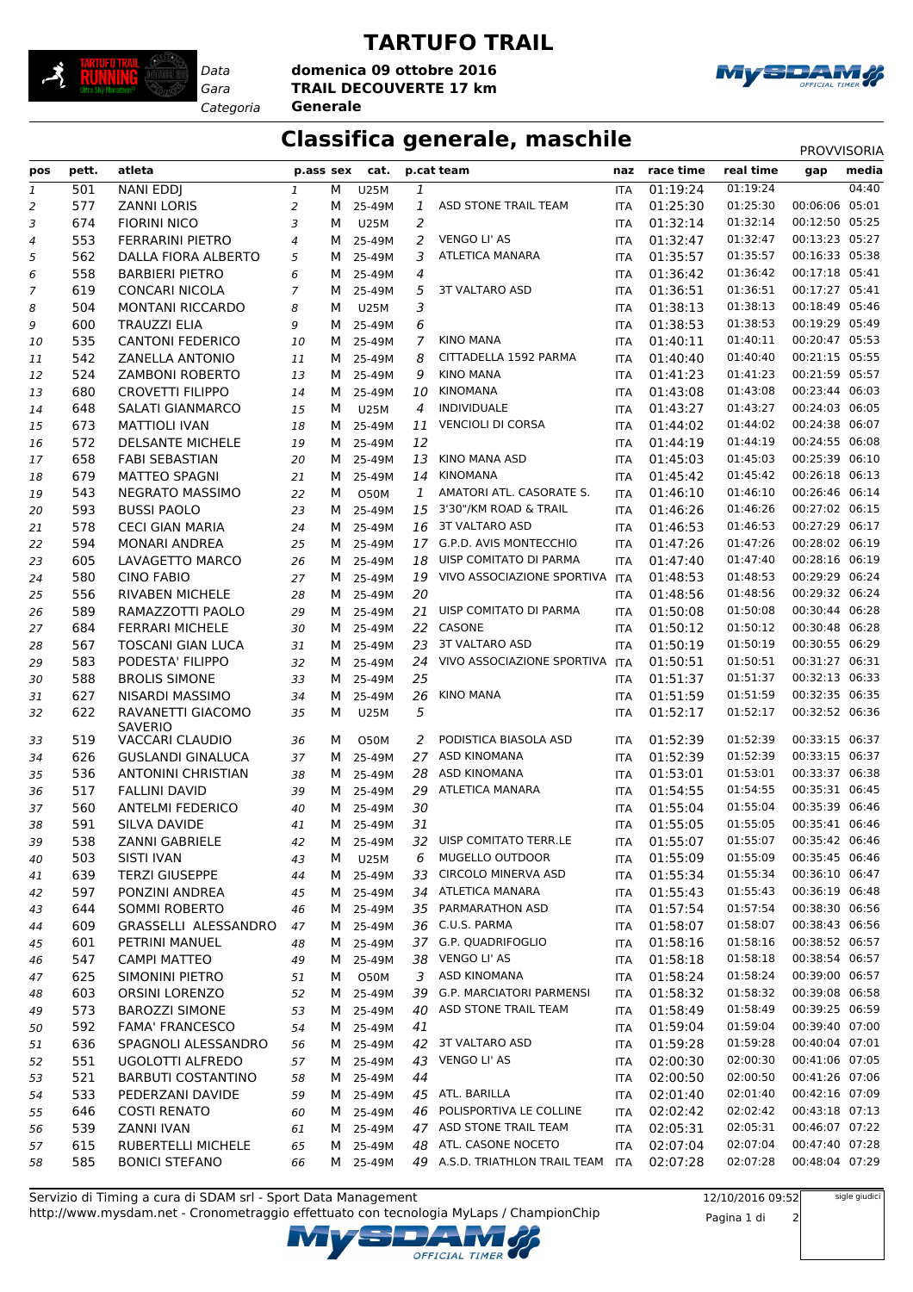

## *Data*

## **TARTUFO TRAIL**

*Gara* **TRAIL DECOUVERTE 17 km domenica 09 ottobre 2016**

*Categoria* **Generale**



## **Classifica generale, maschile** PROVVISORIA

| pos            | pett. | atleta                    | p.ass sex                |   | cat.        |                | p.cat team                        | naz        | race time | real time | gap            | media |
|----------------|-------|---------------------------|--------------------------|---|-------------|----------------|-----------------------------------|------------|-----------|-----------|----------------|-------|
| $\mathfrak 1$  | 501   | <b>NANI EDDJ</b>          | $\mathbf{1}$             | М | <b>U25M</b> | 1              |                                   | <b>ITA</b> | 01:19:24  | 01:19:24  |                | 04:40 |
| 2              | 577   | <b>ZANNI LORIS</b>        | 2                        | М | 25-49M      | 1              | ASD STONE TRAIL TEAM              | <b>ITA</b> | 01:25:30  | 01:25:30  | 00:06:06       | 05:01 |
| 3              | 674   | <b>FIORINI NICO</b>       | 3                        | м | <b>U25M</b> | $\overline{2}$ |                                   | <b>ITA</b> | 01:32:14  | 01:32:14  | 00:12:50 05:25 |       |
| $\overline{4}$ | 553   | <b>FERRARINI PIETRO</b>   | $\overline{\mathcal{A}}$ | м | 25-49M      | 2              | <b>VENGO LI' AS</b>               | <b>ITA</b> | 01:32:47  | 01:32:47  | 00:13:23 05:27 |       |
| 5              | 562   | DALLA FIORA ALBERTO       | 5                        | м | 25-49M      | 3              | <b>ATLETICA MANARA</b>            | <b>ITA</b> | 01:35:57  | 01:35:57  | 00:16:33 05:38 |       |
| 6              | 558   | <b>BARBIERI PIETRO</b>    | 6                        | м | 25-49M      | 4              |                                   | <b>ITA</b> | 01:36:42  | 01:36:42  | 00:17:18 05:41 |       |
| 7              | 619   | <b>CONCARI NICOLA</b>     | $\overline{7}$           | м | 25-49M      | 5              | <b>3T VALTARO ASD</b>             | <b>ITA</b> | 01:36:51  | 01:36:51  | 00:17:27 05:41 |       |
| 8              | 504   | <b>MONTANI RICCARDO</b>   | 8                        | м | <b>U25M</b> | 3              |                                   | <b>ITA</b> | 01:38:13  | 01:38:13  | 00:18:49 05:46 |       |
| 9              | 600   | <b>TRAUZZI ELIA</b>       | 9                        | м | 25-49M      | 6              |                                   | <b>ITA</b> | 01:38:53  | 01:38:53  | 00:19:29 05:49 |       |
| 10             | 535   | <b>CANTONI FEDERICO</b>   | 10                       | м | 25-49M      | 7              | <b>KINO MANA</b>                  | <b>ITA</b> | 01:40:11  | 01:40:11  | 00:20:47 05:53 |       |
| 11             | 542   | <b>ZANELLA ANTONIO</b>    | 11                       | М | 25-49M      | 8              | CITTADELLA 1592 PARMA             | <b>ITA</b> | 01:40:40  | 01:40:40  | 00:21:15 05:55 |       |
| 12             | 524   | <b>ZAMBONI ROBERTO</b>    | 13                       | М | 25-49M      | 9              | <b>KINO MANA</b>                  | <b>ITA</b> | 01:41:23  | 01:41:23  | 00:21:59 05:57 |       |
| 13             | 680   | <b>CROVETTI FILIPPO</b>   | 14                       | M | 25-49M      | 10             | <b>KINOMANA</b>                   | <b>ITA</b> | 01:43:08  | 01:43:08  | 00:23:44 06:03 |       |
| 14             | 648   | SALATI GIANMARCO          | 15                       | м | <b>U25M</b> | 4              | <b>INDIVIDUALE</b>                | <b>ITA</b> | 01:43:27  | 01:43:27  | 00:24:03 06:05 |       |
| 15             | 673   | <b>MATTIOLI IVAN</b>      | 18                       | M | 25-49M      | 11             | <b>VENCIOLI DI CORSA</b>          | <b>ITA</b> | 01:44:02  | 01:44:02  | 00:24:38 06:07 |       |
| 16             | 572   | <b>DELSANTE MICHELE</b>   | 19                       | M | 25-49M      | 12             |                                   | <b>ITA</b> | 01:44:19  | 01:44:19  | 00:24:55 06:08 |       |
| 17             | 658   | <b>FABI SEBASTIAN</b>     | 20                       | M | 25-49M      | 13             | KINO MANA ASD                     | <b>ITA</b> | 01:45:03  | 01:45:03  | 00:25:39 06:10 |       |
| 18             | 679   | <b>MATTEO SPAGNI</b>      | 21                       | м | 25-49M      | 14             | KINOMANA                          | <b>ITA</b> | 01:45:42  | 01:45:42  | 00:26:18 06:13 |       |
| 19             | 543   | <b>NEGRATO MASSIMO</b>    | 22                       | м | O50M        | 1              | AMATORI ATL. CASORATE S.          | <b>ITA</b> | 01:46:10  | 01:46:10  | 00:26:46 06:14 |       |
| 20             | 593   | <b>BUSSI PAOLO</b>        | 23                       | M | 25-49M      | 15             | 3'30"/KM ROAD & TRAIL             | <b>ITA</b> | 01:46:26  | 01:46:26  | 00:27:02 06:15 |       |
| 21             | 578   | <b>CECI GIAN MARIA</b>    | 24                       | М | 25-49M      |                | 16 3T VALTARO ASD                 | <b>ITA</b> | 01:46:53  | 01:46:53  | 00:27:29 06:17 |       |
| 22             | 594   | <b>MONARI ANDREA</b>      | 25                       | м | 25-49M      |                | 17 G.P.D. AVIS MONTECCHIO         | <b>ITA</b> | 01:47:26  | 01:47:26  | 00:28:02 06:19 |       |
| 23             | 605   | LAVAGETTO MARCO           | 26                       | M | 25-49M      | 18             | UISP COMITATO DI PARMA            | <b>ITA</b> | 01:47:40  | 01:47:40  | 00:28:16 06:19 |       |
| 24             | 580   | <b>CINO FABIO</b>         | 27                       | М | 25-49M      |                | 19 VIVO ASSOCIAZIONE SPORTIVA ITA |            | 01:48:53  | 01:48:53  | 00:29:29 06:24 |       |
| 25             | 556   | RIVABEN MICHELE           | 28                       | M | 25-49M      | 20             |                                   | <b>ITA</b> | 01:48:56  | 01:48:56  | 00:29:32 06:24 |       |
| 26             | 589   | RAMAZZOTTI PAOLO          | 29                       | M | 25-49M      |                | 21 UISP COMITATO DI PARMA         | <b>ITA</b> | 01:50:08  | 01:50:08  | 00:30:44 06:28 |       |
| 27             | 684   | <b>FERRARI MICHELE</b>    | 30                       | M | 25-49M      |                | 22 CASONE                         | <b>ITA</b> | 01:50:12  | 01:50:12  | 00:30:48 06:28 |       |
| 28             | 567   | <b>TOSCANI GIAN LUCA</b>  | 31                       | M | 25-49M      | 23             | <b>3T VALTARO ASD</b>             | <b>ITA</b> | 01:50:19  | 01:50:19  | 00:30:55 06:29 |       |
| 29             | 583   | PODESTA' FILIPPO          | 32                       | M | 25-49M      | 24             | VIVO ASSOCIAZIONE SPORTIVA ITA    |            | 01:50:51  | 01:50:51  | 00:31:27 06:31 |       |
| 30             | 588   | <b>BROLIS SIMONE</b>      | 33                       | M | 25-49M      | 25             |                                   | <b>ITA</b> | 01:51:37  | 01:51:37  | 00:32:13 06:33 |       |
| 31             | 627   | NISARDI MASSIMO           | 34                       | м | 25-49M      | 26             | <b>KINO MANA</b>                  | <b>ITA</b> | 01:51:59  | 01:51:59  | 00:32:35 06:35 |       |
| 32             | 622   | RAVANETTI GIACOMO         | 35                       | м | <b>U25M</b> | 5              |                                   | <b>ITA</b> | 01:52:17  | 01:52:17  | 00:32:52 06:36 |       |
|                |       | <b>SAVERIO</b>            |                          |   |             |                |                                   |            |           |           |                |       |
| 33             | 519   | <b>VACCARI CLAUDIO</b>    | 36                       | м | <b>O50M</b> | 2              | PODISTICA BIASOLA ASD             | <b>ITA</b> | 01:52:39  | 01:52:39  | 00:33:15 06:37 |       |
| 34             | 626   | <b>GUSLANDI GINALUCA</b>  | 37                       | M | 25-49M      | 27             | <b>ASD KINOMANA</b>               | <b>ITA</b> | 01:52:39  | 01:52:39  | 00:33:15 06:37 |       |
| 35             | 536   | <b>ANTONINI CHRISTIAN</b> | 38                       |   | M 25-49M    | 28             | <b>ASD KINOMANA</b>               | <b>ITA</b> | 01:53:01  | 01:53:01  | 00:33:37 06:38 |       |
| 36             | 517   | <b>FALLINI DAVID</b>      | 39                       | M | 25-49M      |                | 29 ATLETICA MANARA                | <b>ITA</b> | 01:54:55  | 01:54:55  | 00:35:31 06:45 |       |
| 37             | 560   | <b>ANTELMI FEDERICO</b>   | 40                       | M | 25-49M      | 30             |                                   | <b>ITA</b> | 01:55:04  | 01:55:04  | 00:35:39 06:46 |       |
| 38             | 591   | SILVA DAVIDE              | 41                       | М | 25-49M      | 31             |                                   | <b>ITA</b> | 01:55:05  | 01:55:05  | 00:35:41 06:46 |       |
| 39             | 538   | ZANNI GABRIELE            | 42                       | M | 25-49M      |                | 32 UISP COMITATO TERR.LE          | ITA        | 01:55:07  | 01:55:07  | 00:35:42 06:46 |       |
| 40             | 503   | SISTI IVAN                | 43                       | М | <b>U25M</b> | 6              | MUGELLO OUTDOOR                   | <b>ITA</b> | 01:55:09  | 01:55:09  | 00:35:45 06:46 |       |
| 41             | 639   | <b>TERZI GIUSEPPE</b>     | 44                       | м | 25-49M      | 33             | CIRCOLO MINERVA ASD               | <b>ITA</b> | 01:55:34  | 01:55:34  | 00:36:10 06:47 |       |
| 42             | 597   | PONZINI ANDREA            | 45                       | м | 25-49M      | 34             | ATLETICA MANARA                   | ITA        | 01:55:43  | 01:55:43  | 00:36:19 06:48 |       |
| 43             | 644   | <b>SOMMI ROBERTO</b>      | 46                       | м | 25-49M      | 35             | PARMARATHON ASD                   | ITA        | 01:57:54  | 01:57:54  | 00:38:30 06:56 |       |
| 44             | 609   | GRASSELLI ALESSANDRO      | 47                       | м | 25-49M      | 36             | C.U.S. PARMA                      | <b>ITA</b> | 01:58:07  | 01:58:07  | 00:38:43 06:56 |       |
| 45             | 601   | PETRINI MANUEL            | 48                       | M | 25-49M      |                | 37 G.P. QUADRIFOGLIO              | ITA        | 01:58:16  | 01:58:16  | 00:38:52 06:57 |       |
| 46             | 547   | <b>CAMPI MATTEO</b>       | 49                       | M | 25-49M      | 38             | VENGO LI' AS                      | <b>ITA</b> | 01:58:18  | 01:58:18  | 00:38:54 06:57 |       |
| 47             | 625   | SIMONINI PIETRO           | 51                       | м | O50M        | 3              | <b>ASD KINOMANA</b>               | <b>ITA</b> | 01:58:24  | 01:58:24  | 00:39:00 06:57 |       |
| 48             | 603   | <b>ORSINI LORENZO</b>     | 52                       | м | 25-49M      | 39             | <b>G.P. MARCIATORI PARMENSI</b>   | ITA        | 01:58:32  | 01:58:32  | 00:39:08 06:58 |       |
| 49             | 573   | <b>BAROZZI SIMONE</b>     | 53                       | M | 25-49M      | 40             | ASD STONE TRAIL TEAM              | ITA        | 01:58:49  | 01:58:49  | 00:39:25 06:59 |       |
| 50             | 592   | <b>FAMA' FRANCESCO</b>    | 54                       | M | 25-49M      | 41             |                                   | <b>ITA</b> | 01:59:04  | 01:59:04  | 00:39:40 07:00 |       |
| 51             | 636   | SPAGNOLI ALESSANDRO       | 56                       | M | 25-49M      |                | 42 3T VALTARO ASD                 | ITA        | 01:59:28  | 01:59:28  | 00:40:04 07:01 |       |
| 52             | 551   | UGOLOTTI ALFREDO          | 57                       | M | 25-49M      | 43             | VENGO LI' AS                      | <b>ITA</b> | 02:00:30  | 02:00:30  | 00:41:06 07:05 |       |
| 53             | 521   | <b>BARBUTI COSTANTINO</b> | 58                       | M | 25-49M      | 44             |                                   | ITA        | 02:00:50  | 02:00:50  | 00:41:26 07:06 |       |
| 54             | 533   | PEDERZANI DAVIDE          | 59                       | M | 25-49M      |                | 45 ATL. BARILLA                   | <b>ITA</b> | 02:01:40  | 02:01:40  | 00:42:16 07:09 |       |
| 55             | 646   | <b>COSTI RENATO</b>       | 60                       | M | 25-49M      | 46             | POLISPORTIVA LE COLLINE           | ITA        | 02:02:42  | 02:02:42  | 00:43:18 07:13 |       |
| 56             | 539   | ZANNI IVAN                | 61                       | М | 25-49M      |                | 47 ASD STONE TRAIL TEAM           | ITA        | 02:05:31  | 02:05:31  | 00:46:07 07:22 |       |
| 57             | 615   | RUBERTELLI MICHELE        | 65                       | М | 25-49M      | 48             | ATL. CASONE NOCETO                | <b>ITA</b> | 02:07:04  | 02:07:04  | 00:47:40 07:28 |       |
| 58             | 585   | <b>BONICI STEFANO</b>     | 66                       | М | 25-49M      |                | 49 A.S.D. TRIATHLON TRAIL TEAM    | <b>ITA</b> | 02:07:28  | 02:07:28  | 00:48:04 07:29 |       |

http://www.mysdam.net - Cronometraggio effettuato con tecnologia MyLaps / ChampionChip Servizio di Timing a cura di SDAM srl - Sport Data Management

12/10/2016 09:52 Pagina 1 di 2 sigle giudici